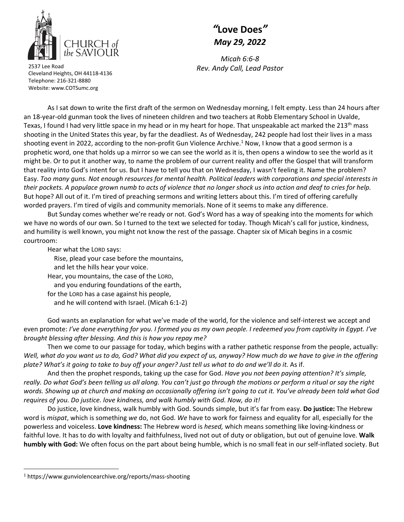

Cleveland Heights, OH 44118‐4136

## *"***Love Does***" May 29, 2022*

*Micah 6:6‐8 Rev. Andy Call, Lead Pastor* <sup>2537</sup> Lee Road

As I sat down to write the first draft of the sermon on Wednesday morning, I felt empty. Less than 24 hours after an 18‐year‐old gunman took the lives of nineteen children and two teachers at Robb Elementary School in Uvalde, Texas, I found I had very little space in my head or in my heart for hope. That unspeakable act marked the 213<sup>th</sup> mass shooting in the United States this year, by far the deadliest. As of Wednesday, 242 people had lost their lives in a mass shooting event in 2022, according to the non-profit Gun Violence Archive.<sup>1</sup> Now, I know that a good sermon is a prophetic word, one that holds up a mirror so we can see the world as it is, then opens a window to see the world as it might be. Or to put it another way, to name the problem of our current reality and offer the Gospel that will transform Telephone: 216‐321‐8880 Website: www.COTSumc.org

that reality into God's intent for us. But I have to tell you that on Wednesday, I wasn't feeling it. Name the problem? Easy. Too many guns. Not enough resources for mental health. Political leaders with corporations and special interests in their pockets. A populace grown numb to acts of violence that no longer shock us into action and deaf to cries for help. But hope? All out of it. I'm tired of preaching sermons and writing letters about this. I'm tired of offering carefully worded prayers. I'm tired of vigils and community memorials. None of it seems to make any difference.

But Sunday comes whether we're ready or not. God's Word has a way of speaking into the moments for which we have no words of our own. So I turned to the text we selected for today. Though Micah's call for justice, kindness, and humility is well known, you might not know the rest of the passage. Chapter six of Micah begins in a cosmic courtroom:

Hear what the LORD says:

Rise, plead your case before the mountains,

and let the hills hear your voice.

Hear, you mountains, the case of the LORD,

and you enduring foundations of the earth,

for the LORD has a case against his people,

and he will contend with Israel. (Micah 6:1‐2)

God wants an explanation for what we've made of the world, for the violence and self-interest we accept and even promote: I've done everything for you. I formed you as my own people. I redeemed you from captivity in Egypt. I've *brought blessing after blessing. And this is how you repay me?*

Then we come to our passage for today, which begins with a rather pathetic response from the people, actually: Well, what do you want us to do, God? What did you expect of us, anyway? How much do we have to give in the offering plate? What's it going to take to buy off your anger? Just tell us what to do and we'll do it. As if.

And then the prophet responds, taking up the case for God. *Have you not been paying attention? It's simple,* really. Do what God's been telling us all along. You can't just go through the motions or perform a ritual or say the right words. Showing up at church and making an occasionally offering isn't going to cut it. You've already been told what God *requires of you. Do justice. love kindness, and walk humbly with God. Now, do it!*

Do justice, love kindness, walk humbly with God. Sounds simple, but it's far from easy. **Do justice:** The Hebrew word is *mispat*, which is something *we* do, not God. *We* have to work for fairness and equality for all, especially for the powerless and voiceless. **Love kindness:** The Hebrew word is *hesed,* which means something like loving‐kindness or faithful love. It has to do with loyalty and faithfulness, lived not out of duty or obligation, but out of genuine love. **Walk humbly with God:** We often focus on the part about being humble, which is no small feat in our self‐inflated society. But

<sup>1</sup> https://www.gunviolencearchive.org/reports/mass‐shooting